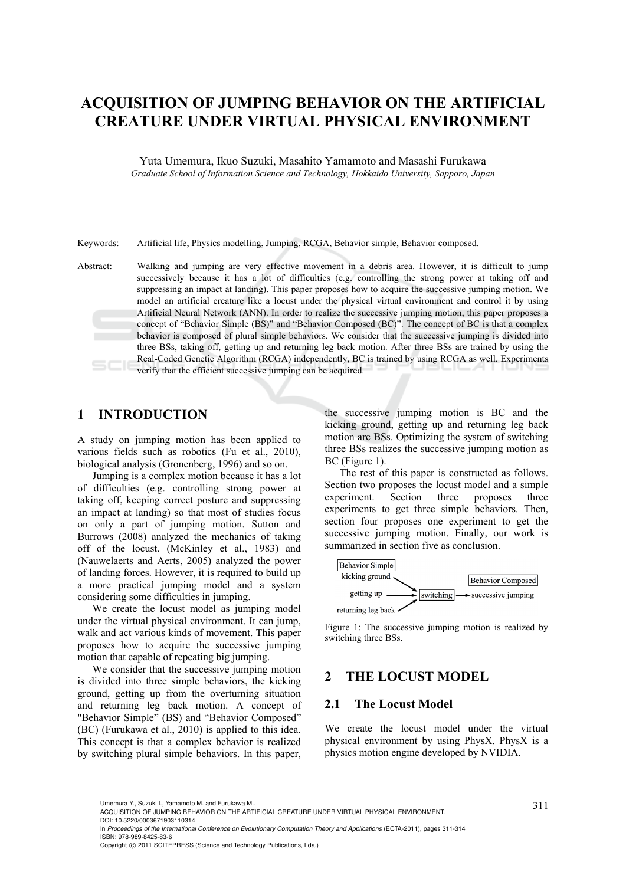# **ACQUISITION OF JUMPING BEHAVIOR ON THE ARTIFICIAL CREATURE UNDER VIRTUAL PHYSICAL ENVIRONMENT**

Yuta Umemura, Ikuo Suzuki, Masahito Yamamoto and Masashi Furukawa *Graduate School of Information Science and Technology, Hokkaido University, Sapporo, Japan* 

Keywords: Artificial life, Physics modelling, Jumping, RCGA, Behavior simple, Behavior composed.

Abstract: Walking and jumping are very effective movement in a debris area. However, it is difficult to jump successively because it has a lot of difficulties (e.g. controlling the strong power at taking off and suppressing an impact at landing). This paper proposes how to acquire the successive jumping motion. We model an artificial creature like a locust under the physical virtual environment and control it by using Artificial Neural Network (ANN). In order to realize the successive jumping motion, this paper proposes a concept of "Behavior Simple (BS)" and "Behavior Composed (BC)". The concept of BC is that a complex behavior is composed of plural simple behaviors. We consider that the successive jumping is divided into three BSs, taking off, getting up and returning leg back motion. After three BSs are trained by using the Real-Coded Genetic Algorithm (RCGA) independently, BC is trained by using RCGA as well. Experiments verify that the efficient successive jumping can be acquired.

## **1 INTRODUCTION**

A study on jumping motion has been applied to various fields such as robotics (Fu et al., 2010), biological analysis (Gronenberg, 1996) and so on.

Jumping is a complex motion because it has a lot of difficulties (e.g. controlling strong power at taking off, keeping correct posture and suppressing an impact at landing) so that most of studies focus on only a part of jumping motion. Sutton and Burrows (2008) analyzed the mechanics of taking off of the locust. (McKinley et al., 1983) and (Nauwelaerts and Aerts, 2005) analyzed the power of landing forces. However, it is required to build up a more practical jumping model and a system considering some difficulties in jumping.

We create the locust model as jumping model under the virtual physical environment. It can jump, walk and act various kinds of movement. This paper proposes how to acquire the successive jumping motion that capable of repeating big jumping.

We consider that the successive jumping motion is divided into three simple behaviors, the kicking ground, getting up from the overturning situation and returning leg back motion. A concept of "Behavior Simple" (BS) and "Behavior Composed" (BC) (Furukawa et al., 2010) is applied to this idea. This concept is that a complex behavior is realized by switching plural simple behaviors. In this paper,

the successive jumping motion is BC and the kicking ground, getting up and returning leg back motion are BSs. Optimizing the system of switching three BSs realizes the successive jumping motion as BC (Figure 1).

The rest of this paper is constructed as follows. Section two proposes the locust model and a simple experiment. Section three proposes three experiments to get three simple behaviors. Then, section four proposes one experiment to get the successive jumping motion. Finally, our work is summarized in section five as conclusion.



Figure 1: The successive jumping motion is realized by switching three BSs.

## **2 THE LOCUST MODEL**

## **2.1 The Locust Model**

We create the locust model under the virtual physical environment by using PhysX. PhysX is a physics motion engine developed by NVIDIA.

<sup>311</sup> Umemura Y., Suzuki I., Yamamoto M. and Furukawa M.. ACQUISITION OF JUMPING BEHAVIOR ON THE ARTIFICIAL CREATURE UNDER VIRTUAL PHYSICAL ENVIRONMENT. DOI: 10.5220/0003671903110314

In *Proceedings of the International Conference on Evolutionary Computation Theory and Applications* (ECTA-2011), pages 311-314 ISBN: 978-989-8425-83-6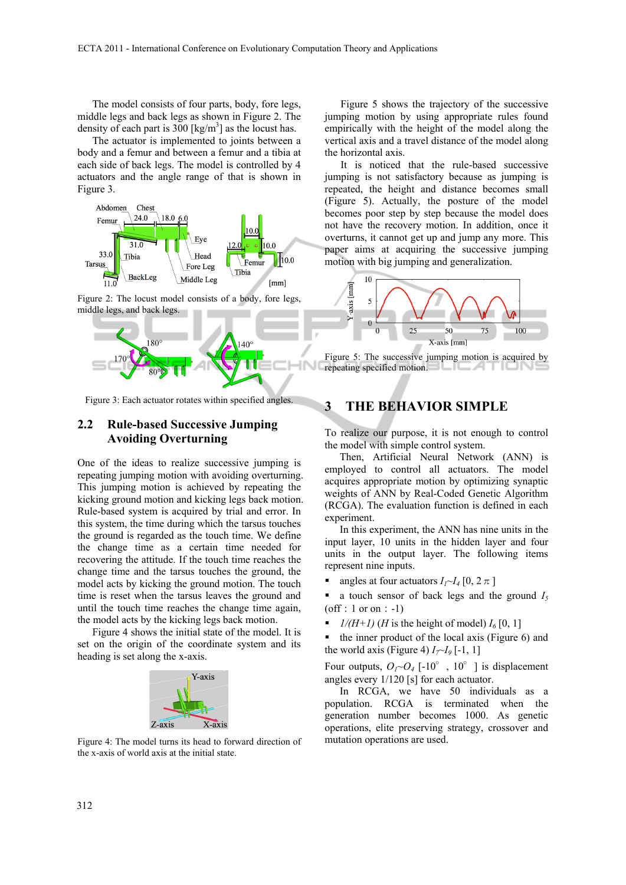The model consists of four parts, body, fore legs, middle legs and back legs as shown in Figure 2. The density of each part is  $300$  [kg/m<sup>3</sup>] as the locust has.

The actuator is implemented to joints between a body and a femur and between a femur and a tibia at each side of back legs. The model is controlled by 4 actuators and the angle range of that is shown in Figure 3.



Figure 2: The locust model consists of a body, fore legs, middle legs, and back legs.



Figure 3: Each actuator rotates within specified angles.

#### **2.2 Rule-based Successive Jumping Avoiding Overturning**

One of the ideas to realize successive jumping is repeating jumping motion with avoiding overturning. This jumping motion is achieved by repeating the kicking ground motion and kicking legs back motion. Rule-based system is acquired by trial and error. In this system, the time during which the tarsus touches the ground is regarded as the touch time. We define the change time as a certain time needed for recovering the attitude. If the touch time reaches the change time and the tarsus touches the ground, the model acts by kicking the ground motion. The touch time is reset when the tarsus leaves the ground and until the touch time reaches the change time again, the model acts by the kicking legs back motion.

Figure 4 shows the initial state of the model. It is set on the origin of the coordinate system and its heading is set along the x-axis.



Figure 4: The model turns its head to forward direction of the x-axis of world axis at the initial state.

Figure 5 shows the trajectory of the successive jumping motion by using appropriate rules found empirically with the height of the model along the vertical axis and a travel distance of the model along the horizontal axis.

It is noticed that the rule-based successive jumping is not satisfactory because as jumping is repeated, the height and distance becomes small (Figure 5). Actually, the posture of the model becomes poor step by step because the model does not have the recovery motion. In addition, once it overturns, it cannot get up and jump any more. This paper aims at acquiring the successive jumping motion with big jumping and generalization.



Figure 5: The successive jumping motion is acquired by repeating specified motion.

## **3 THE BEHAVIOR SIMPLE**

To realize our purpose, it is not enough to control the model with simple control system.

Then, Artificial Neural Network (ANN) is employed to control all actuators. The model acquires appropriate motion by optimizing synaptic weights of ANN by Real-Coded Genetic Algorithm (RCGA). The evaluation function is defined in each experiment.

In this experiment, the ANN has nine units in the input layer, 10 units in the hidden layer and four units in the output layer. The following items represent nine inputs.

angles at four actuators  $I_1 \sim I_4$  [0, 2 $\pi$ ]

a touch sensor of back legs and the ground  $I_5$  $($ off: 1 or on: -1)

- $1/(H+1)$  (*H* is the height of model)  $I_6$  [0, 1]
- the inner product of the local axis (Figure 6) and the world axis (Figure 4)  $I_7 \sim I_9$  [-1, 1]

Four outputs,  $O_I \sim O_4$  [-10°, 10°] is displacement angles every 1/120 [s] for each actuator.

In RCGA, we have 50 individuals as a population. RCGA is terminated when the generation number becomes 1000. As genetic operations, elite preserving strategy, crossover and mutation operations are used.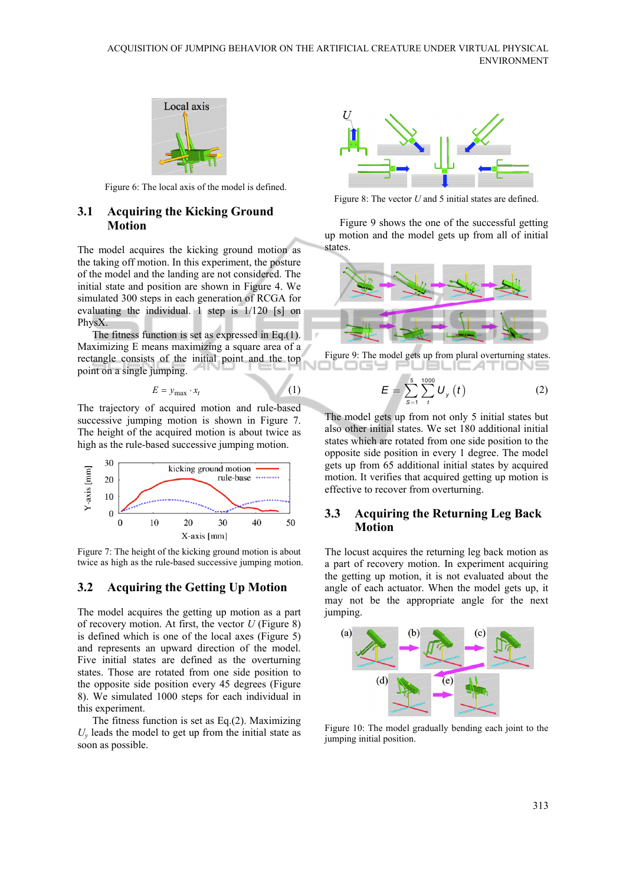

Figure 6: The local axis of the model is defined.

#### **3.1 Acquiring the Kicking Ground Motion**

The model acquires the kicking ground motion as the taking off motion. In this experiment, the posture of the model and the landing are not considered. The initial state and position are shown in Figure 4. We simulated 300 steps in each generation of RCGA for evaluating the individual. 1 step is 1/120 [s] on PhysX.

The fitness function is set as expressed in Eq.(1). Maximizing E means maximizing a square area of a rectangle consists of the initial point and the top point on a single jumping.

$$
E = y_{\text{max}} \cdot x_t \tag{1}
$$

The trajectory of acquired motion and rule-based successive jumping motion is shown in Figure 7. The height of the acquired motion is about twice as high as the rule-based successive jumping motion.



Figure 7: The height of the kicking ground motion is about twice as high as the rule-based successive jumping motion.

#### **3.2 Acquiring the Getting Up Motion**

The model acquires the getting up motion as a part of recovery motion. At first, the vector *U* (Figure 8) is defined which is one of the local axes (Figure 5) and represents an upward direction of the model. Five initial states are defined as the overturning states. Those are rotated from one side position to the opposite side position every 45 degrees (Figure 8). We simulated 1000 steps for each individual in this experiment.

The fitness function is set as Eq.(2). Maximizing  $U<sub>v</sub>$  leads the model to get up from the initial state as soon as possible.



Figure 8: The vector *U* and 5 initial states are defined.

Figure 9 shows the one of the successful getting up motion and the model gets up from all of initial states.





$$
E = \sum_{s=1}^{5} \sum_{t}^{1000} U_{y} (t)
$$
 (2)

The model gets up from not only 5 initial states but also other initial states. We set 180 additional initial states which are rotated from one side position to the opposite side position in every 1 degree. The model gets up from 65 additional initial states by acquired motion. It verifies that acquired getting up motion is effective to recover from overturning.

#### **3.3 Acquiring the Returning Leg Back Motion**

The locust acquires the returning leg back motion as a part of recovery motion. In experiment acquiring the getting up motion, it is not evaluated about the angle of each actuator. When the model gets up, it may not be the appropriate angle for the next jumping.



Figure 10: The model gradually bending each joint to the jumping initial position.